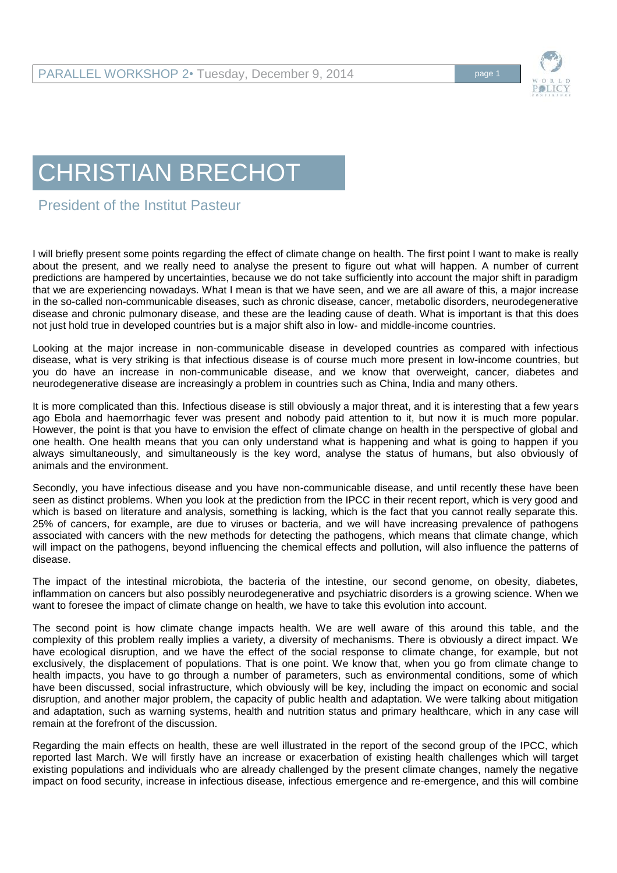

## CHRISTIAN BRECHOT

## President of the Institut Pasteur

I will briefly present some points regarding the effect of climate change on health. The first point I want to make is really about the present, and we really need to analyse the present to figure out what will happen. A number of current predictions are hampered by uncertainties, because we do not take sufficiently into account the major shift in paradigm that we are experiencing nowadays. What I mean is that we have seen, and we are all aware of this, a major increase in the so-called non-communicable diseases, such as chronic disease, cancer, metabolic disorders, neurodegenerative disease and chronic pulmonary disease, and these are the leading cause of death. What is important is that this does not just hold true in developed countries but is a major shift also in low- and middle-income countries.

Looking at the major increase in non-communicable disease in developed countries as compared with infectious disease, what is very striking is that infectious disease is of course much more present in low-income countries, but you do have an increase in non-communicable disease, and we know that overweight, cancer, diabetes and neurodegenerative disease are increasingly a problem in countries such as China, India and many others.

It is more complicated than this. Infectious disease is still obviously a major threat, and it is interesting that a few years ago Ebola and haemorrhagic fever was present and nobody paid attention to it, but now it is much more popular. However, the point is that you have to envision the effect of climate change on health in the perspective of global and one health. One health means that you can only understand what is happening and what is going to happen if you always simultaneously, and simultaneously is the key word, analyse the status of humans, but also obviously of animals and the environment.

Secondly, you have infectious disease and you have non-communicable disease, and until recently these have been seen as distinct problems. When you look at the prediction from the IPCC in their recent report, which is very good and which is based on literature and analysis, something is lacking, which is the fact that you cannot really separate this. 25% of cancers, for example, are due to viruses or bacteria, and we will have increasing prevalence of pathogens associated with cancers with the new methods for detecting the pathogens, which means that climate change, which will impact on the pathogens, beyond influencing the chemical effects and pollution, will also influence the patterns of disease.

The impact of the intestinal microbiota, the bacteria of the intestine, our second genome, on obesity, diabetes, inflammation on cancers but also possibly neurodegenerative and psychiatric disorders is a growing science. When we want to foresee the impact of climate change on health, we have to take this evolution into account.

The second point is how climate change impacts health. We are well aware of this around this table, and the complexity of this problem really implies a variety, a diversity of mechanisms. There is obviously a direct impact. We have ecological disruption, and we have the effect of the social response to climate change, for example, but not exclusively, the displacement of populations. That is one point. We know that, when you go from climate change to health impacts, you have to go through a number of parameters, such as environmental conditions, some of which have been discussed, social infrastructure, which obviously will be key, including the impact on economic and social disruption, and another major problem, the capacity of public health and adaptation. We were talking about mitigation and adaptation, such as warning systems, health and nutrition status and primary healthcare, which in any case will remain at the forefront of the discussion.

Regarding the main effects on health, these are well illustrated in the report of the second group of the IPCC, which reported last March. We will firstly have an increase or exacerbation of existing health challenges which will target existing populations and individuals who are already challenged by the present climate changes, namely the negative impact on food security, increase in infectious disease, infectious emergence and re-emergence, and this will combine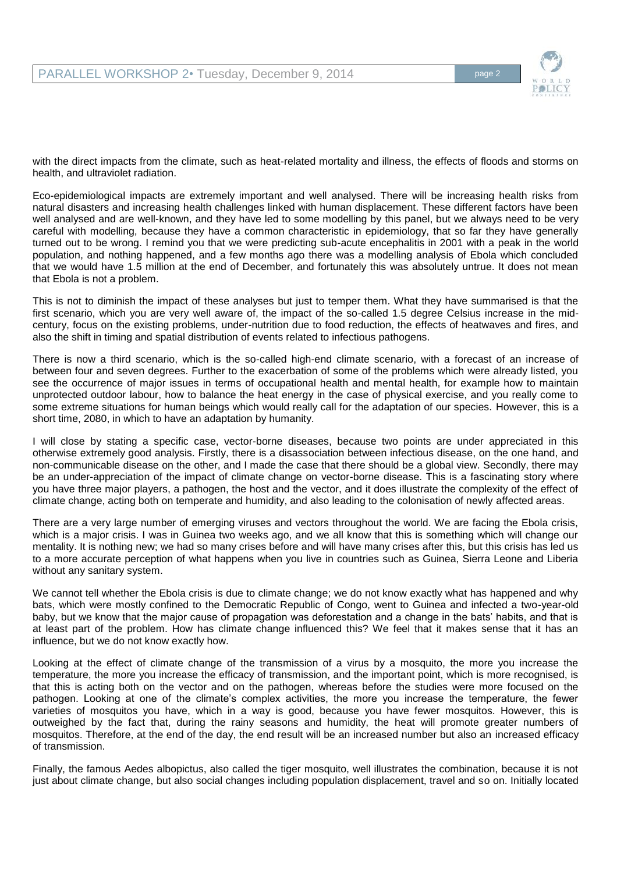

with the direct impacts from the climate, such as heat-related mortality and illness, the effects of floods and storms on health, and ultraviolet radiation.

Eco-epidemiological impacts are extremely important and well analysed. There will be increasing health risks from natural disasters and increasing health challenges linked with human displacement. These different factors have been well analysed and are well-known, and they have led to some modelling by this panel, but we always need to be very careful with modelling, because they have a common characteristic in epidemiology, that so far they have generally turned out to be wrong. I remind you that we were predicting sub-acute encephalitis in 2001 with a peak in the world population, and nothing happened, and a few months ago there was a modelling analysis of Ebola which concluded that we would have 1.5 million at the end of December, and fortunately this was absolutely untrue. It does not mean that Ebola is not a problem.

This is not to diminish the impact of these analyses but just to temper them. What they have summarised is that the first scenario, which you are very well aware of, the impact of the so-called 1.5 degree Celsius increase in the midcentury, focus on the existing problems, under-nutrition due to food reduction, the effects of heatwaves and fires, and also the shift in timing and spatial distribution of events related to infectious pathogens.

There is now a third scenario, which is the so-called high-end climate scenario, with a forecast of an increase of between four and seven degrees. Further to the exacerbation of some of the problems which were already listed, you see the occurrence of major issues in terms of occupational health and mental health, for example how to maintain unprotected outdoor labour, how to balance the heat energy in the case of physical exercise, and you really come to some extreme situations for human beings which would really call for the adaptation of our species. However, this is a short time, 2080, in which to have an adaptation by humanity.

I will close by stating a specific case, vector-borne diseases, because two points are under appreciated in this otherwise extremely good analysis. Firstly, there is a disassociation between infectious disease, on the one hand, and non-communicable disease on the other, and I made the case that there should be a global view. Secondly, there may be an under-appreciation of the impact of climate change on vector-borne disease. This is a fascinating story where you have three major players, a pathogen, the host and the vector, and it does illustrate the complexity of the effect of climate change, acting both on temperate and humidity, and also leading to the colonisation of newly affected areas.

There are a very large number of emerging viruses and vectors throughout the world. We are facing the Ebola crisis, which is a major crisis. I was in Guinea two weeks ago, and we all know that this is something which will change our mentality. It is nothing new; we had so many crises before and will have many crises after this, but this crisis has led us to a more accurate perception of what happens when you live in countries such as Guinea, Sierra Leone and Liberia without any sanitary system.

We cannot tell whether the Ebola crisis is due to climate change; we do not know exactly what has happened and why bats, which were mostly confined to the Democratic Republic of Congo, went to Guinea and infected a two-year-old baby, but we know that the major cause of propagation was deforestation and a change in the bats' habits, and that is at least part of the problem. How has climate change influenced this? We feel that it makes sense that it has an influence, but we do not know exactly how.

Looking at the effect of climate change of the transmission of a virus by a mosquito, the more you increase the temperature, the more you increase the efficacy of transmission, and the important point, which is more recognised, is that this is acting both on the vector and on the pathogen, whereas before the studies were more focused on the pathogen. Looking at one of the climate's complex activities, the more you increase the temperature, the fewer varieties of mosquitos you have, which in a way is good, because you have fewer mosquitos. However, this is outweighed by the fact that, during the rainy seasons and humidity, the heat will promote greater numbers of mosquitos. Therefore, at the end of the day, the end result will be an increased number but also an increased efficacy of transmission.

Finally, the famous Aedes albopictus, also called the tiger mosquito, well illustrates the combination, because it is not just about climate change, but also social changes including population displacement, travel and so on. Initially located